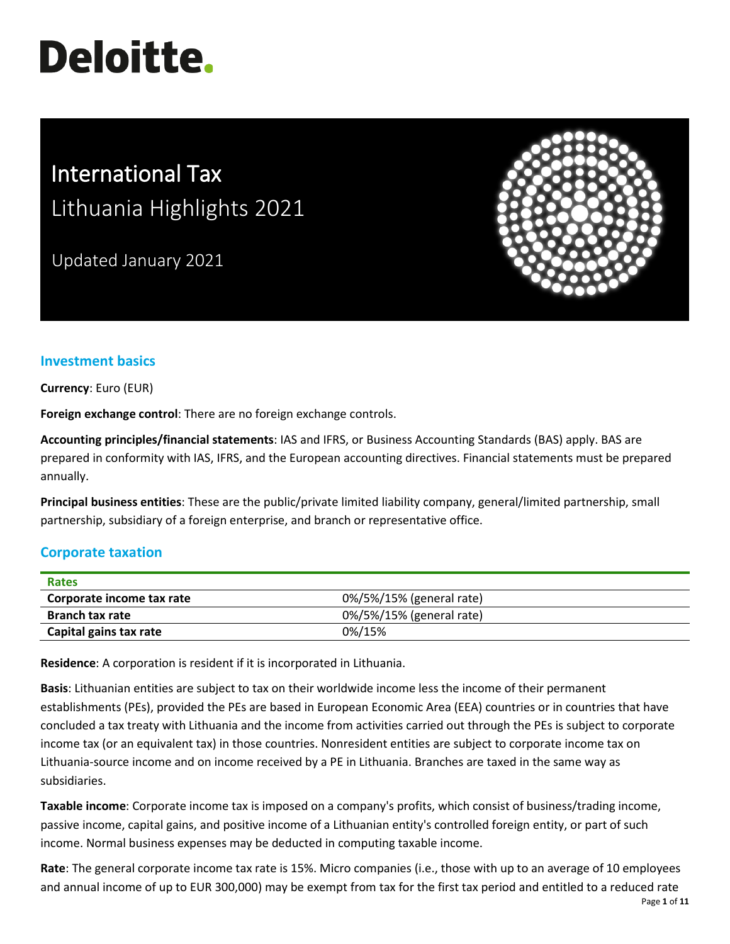# **Deloitte.**

# International Tax Lithuania Highlights 2021

Updated January 2021



# **Investment basics**

**Currency**: Euro (EUR)

**Foreign exchange control**: There are no foreign exchange controls.

**Accounting principles/financial statements**: IAS and IFRS, or Business Accounting Standards (BAS) apply. BAS are prepared in conformity with IAS, IFRS, and the European accounting directives. Financial statements must be prepared annually.

**Principal business entities**: These are the public/private limited liability company, general/limited partnership, small partnership, subsidiary of a foreign enterprise, and branch or representative office.

# **Corporate taxation**

| <b>Rates</b>              |                          |
|---------------------------|--------------------------|
| Corporate income tax rate | 0%/5%/15% (general rate) |
| <b>Branch tax rate</b>    | 0%/5%/15% (general rate) |
| Capital gains tax rate    | 0%/15%                   |

**Residence**: A corporation is resident if it is incorporated in Lithuania.

**Basis**: Lithuanian entities are subject to tax on their worldwide income less the income of their permanent establishments (PEs), provided the PEs are based in European Economic Area (EEA) countries or in countries that have concluded a tax treaty with Lithuania and the income from activities carried out through the PEs is subject to corporate income tax (or an equivalent tax) in those countries. Nonresident entities are subject to corporate income tax on Lithuania-source income and on income received by a PE in Lithuania. Branches are taxed in the same way as subsidiaries.

**Taxable income**: Corporate income tax is imposed on a company's profits, which consist of business/trading income, passive income, capital gains, and positive income of a Lithuanian entity's controlled foreign entity, or part of such income. Normal business expenses may be deducted in computing taxable income.

**Rate**: The general corporate income tax rate is 15%. Micro companies (i.e., those with up to an average of 10 employees and annual income of up to EUR 300,000) may be exempt from tax for the first tax period and entitled to a reduced rate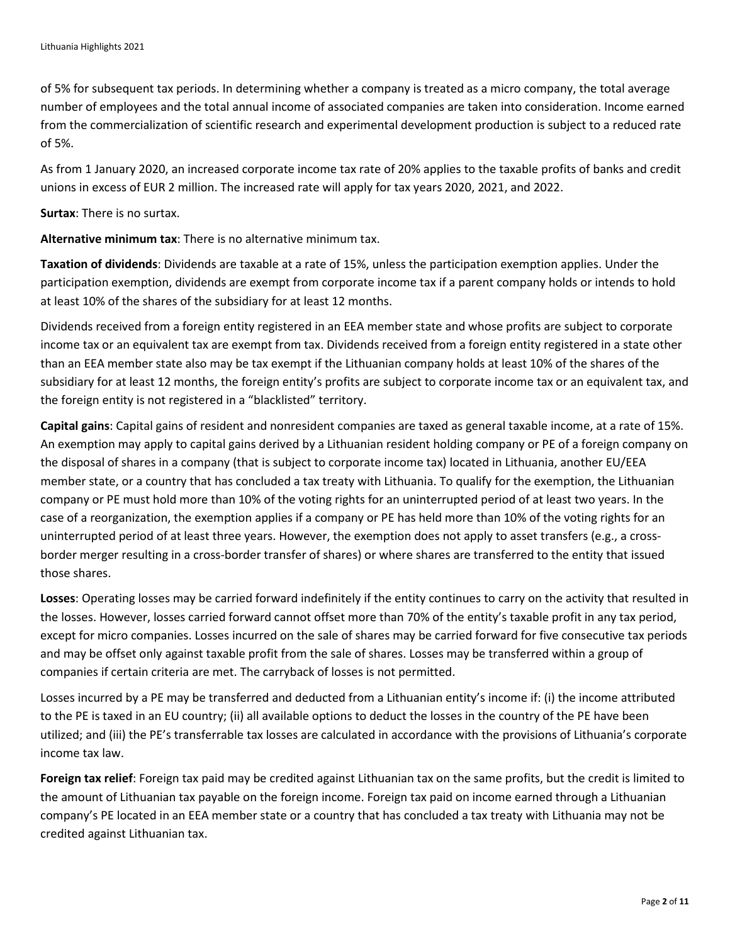of 5% for subsequent tax periods. In determining whether a company is treated as a micro company, the total average number of employees and the total annual income of associated companies are taken into consideration. Income earned from the commercialization of scientific research and experimental development production is subject to a reduced rate of 5%.

As from 1 January 2020, an increased corporate income tax rate of 20% applies to the taxable profits of banks and credit unions in excess of EUR 2 million. The increased rate will apply for tax years 2020, 2021, and 2022.

**Surtax**: There is no surtax.

**Alternative minimum tax**: There is no alternative minimum tax.

**Taxation of dividends**: Dividends are taxable at a rate of 15%, unless the participation exemption applies. Under the participation exemption, dividends are exempt from corporate income tax if a parent company holds or intends to hold at least 10% of the shares of the subsidiary for at least 12 months.

Dividends received from a foreign entity registered in an EEA member state and whose profits are subject to corporate income tax or an equivalent tax are exempt from tax. Dividends received from a foreign entity registered in a state other than an EEA member state also may be tax exempt if the Lithuanian company holds at least 10% of the shares of the subsidiary for at least 12 months, the foreign entity's profits are subject to corporate income tax or an equivalent tax, and the foreign entity is not registered in a "blacklisted" territory.

**Capital gains**: Capital gains of resident and nonresident companies are taxed as general taxable income, at a rate of 15%. An exemption may apply to capital gains derived by a Lithuanian resident holding company or PE of a foreign company on the disposal of shares in a company (that is subject to corporate income tax) located in Lithuania, another EU/EEA member state, or a country that has concluded a tax treaty with Lithuania. To qualify for the exemption, the Lithuanian company or PE must hold more than 10% of the voting rights for an uninterrupted period of at least two years. In the case of a reorganization, the exemption applies if a company or PE has held more than 10% of the voting rights for an uninterrupted period of at least three years. However, the exemption does not apply to asset transfers (e.g., a crossborder merger resulting in a cross-border transfer of shares) or where shares are transferred to the entity that issued those shares.

**Losses**: Operating losses may be carried forward indefinitely if the entity continues to carry on the activity that resulted in the losses. However, losses carried forward cannot offset more than 70% of the entity's taxable profit in any tax period, except for micro companies. Losses incurred on the sale of shares may be carried forward for five consecutive tax periods and may be offset only against taxable profit from the sale of shares. Losses may be transferred within a group of companies if certain criteria are met. The carryback of losses is not permitted.

Losses incurred by a PE may be transferred and deducted from a Lithuanian entity's income if: (i) the income attributed to the PE is taxed in an EU country; (ii) all available options to deduct the losses in the country of the PE have been utilized; and (iii) the PE's transferrable tax losses are calculated in accordance with the provisions of Lithuania's corporate income tax law.

**Foreign tax relief**: Foreign tax paid may be credited against Lithuanian tax on the same profits, but the credit is limited to the amount of Lithuanian tax payable on the foreign income. Foreign tax paid on income earned through a Lithuanian company's PE located in an EEA member state or a country that has concluded a tax treaty with Lithuania may not be credited against Lithuanian tax.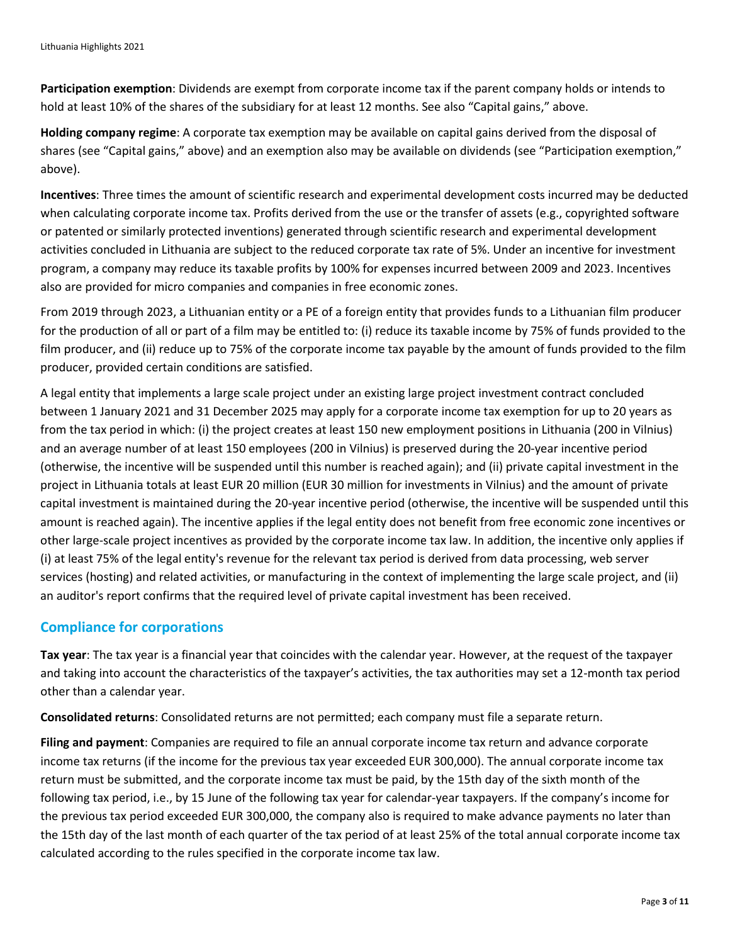**Participation exemption**: Dividends are exempt from corporate income tax if the parent company holds or intends to hold at least 10% of the shares of the subsidiary for at least 12 months. See also "Capital gains," above.

**Holding company regime**: A corporate tax exemption may be available on capital gains derived from the disposal of shares (see "Capital gains," above) and an exemption also may be available on dividends (see "Participation exemption," above).

**Incentives**: Three times the amount of scientific research and experimental development costs incurred may be deducted when calculating corporate income tax. Profits derived from the use or the transfer of assets (e.g., copyrighted software or patented or similarly protected inventions) generated through scientific research and experimental development activities concluded in Lithuania are subject to the reduced corporate tax rate of 5%. Under an incentive for investment program, a company may reduce its taxable profits by 100% for expenses incurred between 2009 and 2023. Incentives also are provided for micro companies and companies in free economic zones.

From 2019 through 2023, a Lithuanian entity or a PE of a foreign entity that provides funds to a Lithuanian film producer for the production of all or part of a film may be entitled to: (i) reduce its taxable income by 75% of funds provided to the film producer, and (ii) reduce up to 75% of the corporate income tax payable by the amount of funds provided to the film producer, provided certain conditions are satisfied.

A legal entity that implements a large scale project under an existing large project investment contract concluded between 1 January 2021 and 31 December 2025 may apply for a corporate income tax exemption for up to 20 years as from the tax period in which: (i) the project creates at least 150 new employment positions in Lithuania (200 in Vilnius) and an average number of at least 150 employees (200 in Vilnius) is preserved during the 20-year incentive period (otherwise, the incentive will be suspended until this number is reached again); and (ii) private capital investment in the project in Lithuania totals at least EUR 20 million (EUR 30 million for investments in Vilnius) and the amount of private capital investment is maintained during the 20-year incentive period (otherwise, the incentive will be suspended until this amount is reached again). The incentive applies if the legal entity does not benefit from free economic zone incentives or other large-scale project incentives as provided by the corporate income tax law. In addition, the incentive only applies if (i) at least 75% of the legal entity's revenue for the relevant tax period is derived from data processing, web server services (hosting) and related activities, or manufacturing in the context of implementing the large scale project, and (ii) an auditor's report confirms that the required level of private capital investment has been received.

# **Compliance for corporations**

**Tax year**: The tax year is a financial year that coincides with the calendar year. However, at the request of the taxpayer and taking into account the characteristics of the taxpayer's activities, the tax authorities may set a 12-month tax period other than a calendar year.

**Consolidated returns**: Consolidated returns are not permitted; each company must file a separate return.

**Filing and payment**: Companies are required to file an annual corporate income tax return and advance corporate income tax returns (if the income for the previous tax year exceeded EUR 300,000). The annual corporate income tax return must be submitted, and the corporate income tax must be paid, by the 15th day of the sixth month of the following tax period, i.e., by 15 June of the following tax year for calendar-year taxpayers. If the company's income for the previous tax period exceeded EUR 300,000, the company also is required to make advance payments no later than the 15th day of the last month of each quarter of the tax period of at least 25% of the total annual corporate income tax calculated according to the rules specified in the corporate income tax law.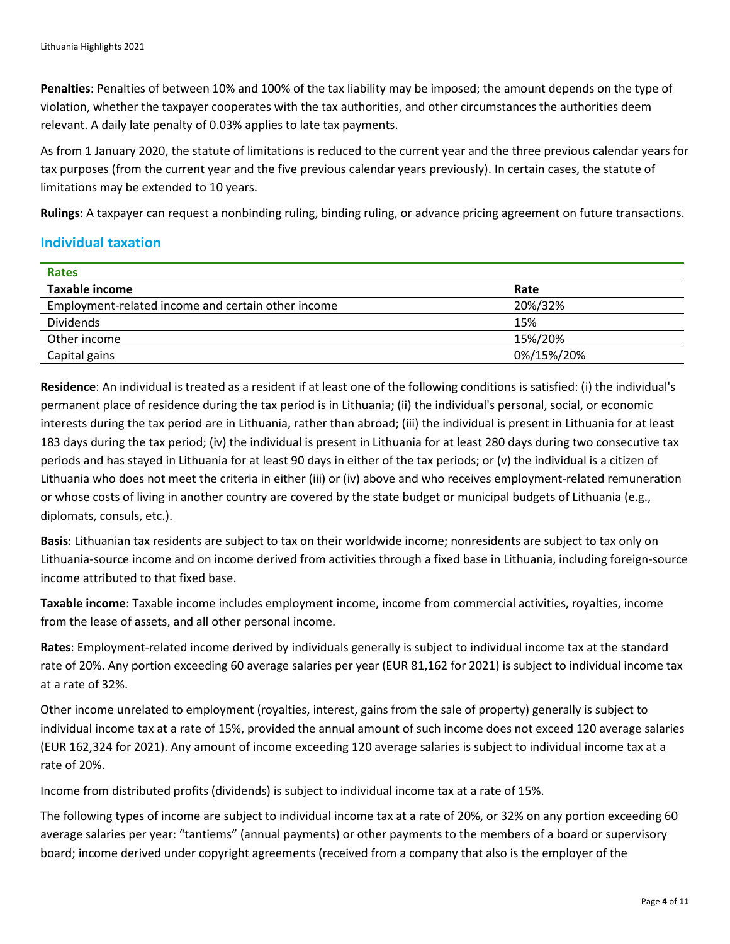**Penalties**: Penalties of between 10% and 100% of the tax liability may be imposed; the amount depends on the type of violation, whether the taxpayer cooperates with the tax authorities, and other circumstances the authorities deem relevant. A daily late penalty of 0.03% applies to late tax payments.

As from 1 January 2020, the statute of limitations is reduced to the current year and the three previous calendar years for tax purposes (from the current year and the five previous calendar years previously). In certain cases, the statute of limitations may be extended to 10 years.

**Rulings**: A taxpayer can request a nonbinding ruling, binding ruling, or advance pricing agreement on future transactions.

#### **Individual taxation**

| <b>Rates</b>                                       |            |  |
|----------------------------------------------------|------------|--|
| Taxable income                                     | Rate       |  |
| Employment-related income and certain other income | 20%/32%    |  |
| <b>Dividends</b>                                   | 15%        |  |
| Other income                                       | 15%/20%    |  |
| Capital gains                                      | 0%/15%/20% |  |

**Residence**: An individual is treated as a resident if at least one of the following conditions is satisfied: (i) the individual's permanent place of residence during the tax period is in Lithuania; (ii) the individual's personal, social, or economic interests during the tax period are in Lithuania, rather than abroad; (iii) the individual is present in Lithuania for at least 183 days during the tax period; (iv) the individual is present in Lithuania for at least 280 days during two consecutive tax periods and has stayed in Lithuania for at least 90 days in either of the tax periods; or (v) the individual is a citizen of Lithuania who does not meet the criteria in either (iii) or (iv) above and who receives employment-related remuneration or whose costs of living in another country are covered by the state budget or municipal budgets of Lithuania (e.g., diplomats, consuls, etc.).

**Basis**: Lithuanian tax residents are subject to tax on their worldwide income; nonresidents are subject to tax only on Lithuania-source income and on income derived from activities through a fixed base in Lithuania, including foreign-source income attributed to that fixed base.

**Taxable income**: Taxable income includes employment income, income from commercial activities, royalties, income from the lease of assets, and all other personal income.

**Rates**: Employment-related income derived by individuals generally is subject to individual income tax at the standard rate of 20%. Any portion exceeding 60 average salaries per year (EUR 81,162 for 2021) is subject to individual income tax at a rate of 32%.

Other income unrelated to employment (royalties, interest, gains from the sale of property) generally is subject to individual income tax at a rate of 15%, provided the annual amount of such income does not exceed 120 average salaries (EUR 162,324 for 2021). Any amount of income exceeding 120 average salaries is subject to individual income tax at a rate of 20%.

Income from distributed profits (dividends) is subject to individual income tax at a rate of 15%.

The following types of income are subject to individual income tax at a rate of 20%, or 32% on any portion exceeding 60 average salaries per year: "tantiems" (annual payments) or other payments to the members of a board or supervisory board; income derived under copyright agreements (received from a company that also is the employer of the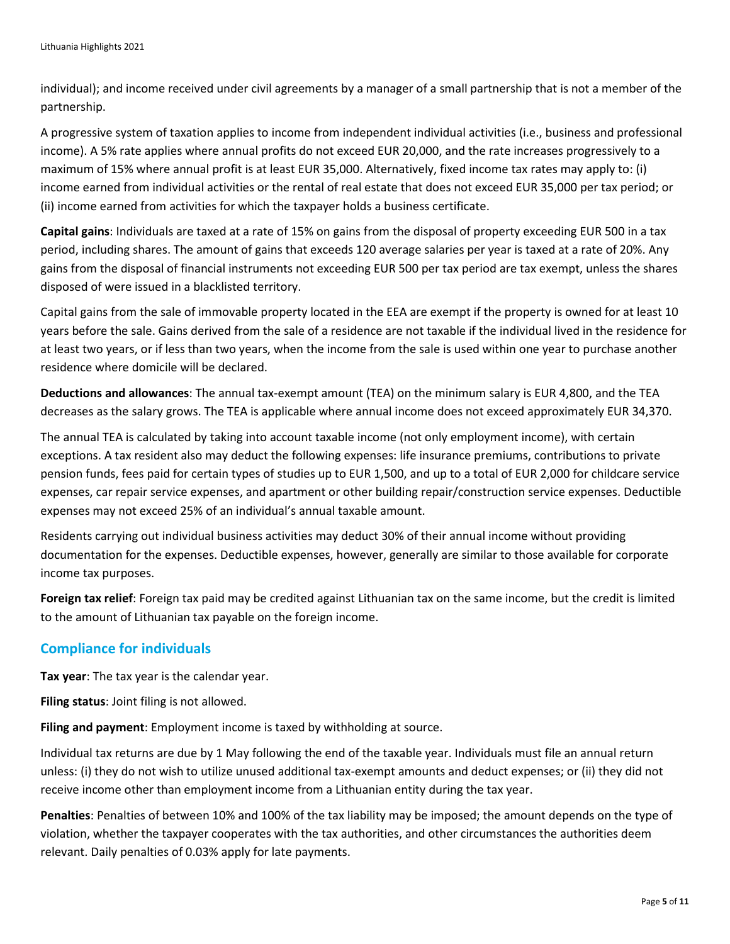individual); and income received under civil agreements by a manager of a small partnership that is not a member of the partnership.

A progressive system of taxation applies to income from independent individual activities (i.e., business and professional income). A 5% rate applies where annual profits do not exceed EUR 20,000, and the rate increases progressively to a maximum of 15% where annual profit is at least EUR 35,000. Alternatively, fixed income tax rates may apply to: (i) income earned from individual activities or the rental of real estate that does not exceed EUR 35,000 per tax period; or (ii) income earned from activities for which the taxpayer holds a business certificate.

**Capital gains**: Individuals are taxed at a rate of 15% on gains from the disposal of property exceeding EUR 500 in a tax period, including shares. The amount of gains that exceeds 120 average salaries per year is taxed at a rate of 20%. Any gains from the disposal of financial instruments not exceeding EUR 500 per tax period are tax exempt, unless the shares disposed of were issued in a blacklisted territory.

Capital gains from the sale of immovable property located in the EEA are exempt if the property is owned for at least 10 years before the sale. Gains derived from the sale of a residence are not taxable if the individual lived in the residence for at least two years, or if less than two years, when the income from the sale is used within one year to purchase another residence where domicile will be declared.

**Deductions and allowances**: The annual tax-exempt amount (TEA) on the minimum salary is EUR 4,800, and the TEA decreases as the salary grows. The TEA is applicable where annual income does not exceed approximately EUR 34,370.

The annual TEA is calculated by taking into account taxable income (not only employment income), with certain exceptions. A tax resident also may deduct the following expenses: life insurance premiums, contributions to private pension funds, fees paid for certain types of studies up to EUR 1,500, and up to a total of EUR 2,000 for childcare service expenses, car repair service expenses, and apartment or other building repair/construction service expenses. Deductible expenses may not exceed 25% of an individual's annual taxable amount.

Residents carrying out individual business activities may deduct 30% of their annual income without providing documentation for the expenses. Deductible expenses, however, generally are similar to those available for corporate income tax purposes.

**Foreign tax relief**: Foreign tax paid may be credited against Lithuanian tax on the same income, but the credit is limited to the amount of Lithuanian tax payable on the foreign income.

#### **Compliance for individuals**

**Tax year**: The tax year is the calendar year.

**Filing status**: Joint filing is not allowed.

**Filing and payment**: Employment income is taxed by withholding at source.

Individual tax returns are due by 1 May following the end of the taxable year. Individuals must file an annual return unless: (i) they do not wish to utilize unused additional tax-exempt amounts and deduct expenses; or (ii) they did not receive income other than employment income from a Lithuanian entity during the tax year.

**Penalties**: Penalties of between 10% and 100% of the tax liability may be imposed; the amount depends on the type of violation, whether the taxpayer cooperates with the tax authorities, and other circumstances the authorities deem relevant. Daily penalties of 0.03% apply for late payments.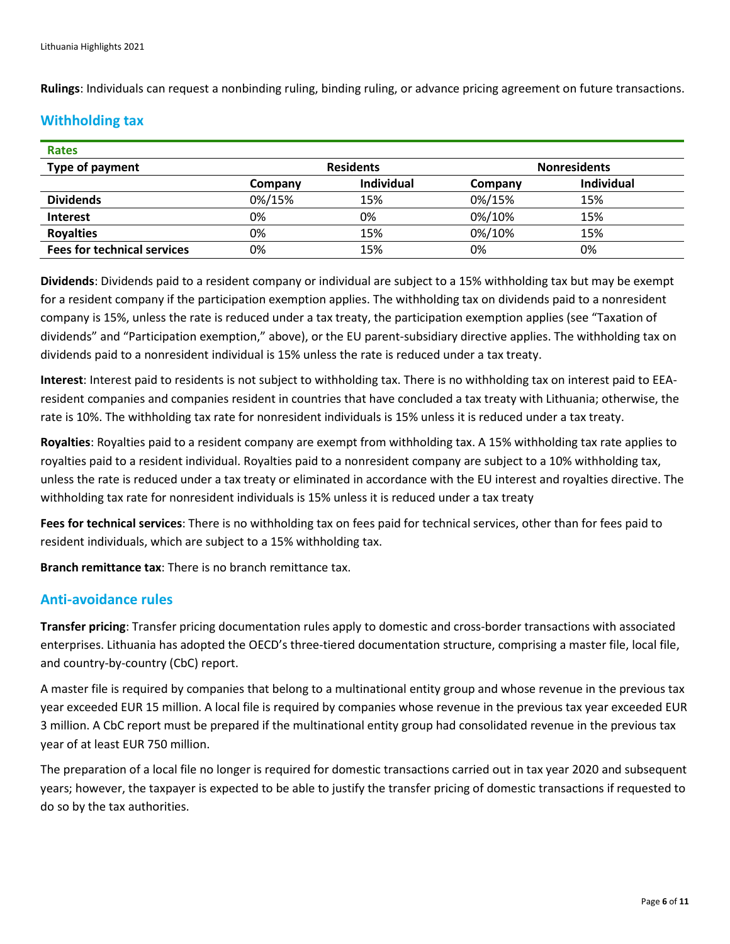**Rulings**: Individuals can request a nonbinding ruling, binding ruling, or advance pricing agreement on future transactions.

# **Withholding tax**

| <b>Rates</b>                       |                  |            |                     |                   |
|------------------------------------|------------------|------------|---------------------|-------------------|
| Type of payment                    | <b>Residents</b> |            | <b>Nonresidents</b> |                   |
|                                    | Company          | Individual | Company             | <b>Individual</b> |
| <b>Dividends</b>                   | 0%/15%           | 15%        | 0%/15%              | 15%               |
| <b>Interest</b>                    | 0%               | 0%         | 0%/10%              | 15%               |
| <b>Royalties</b>                   | 0%               | 15%        | 0%/10%              | 15%               |
| <b>Fees for technical services</b> | 0%               | 15%        | 0%                  | 0%                |

**Dividends**: Dividends paid to a resident company or individual are subject to a 15% withholding tax but may be exempt for a resident company if the participation exemption applies. The withholding tax on dividends paid to a nonresident company is 15%, unless the rate is reduced under a tax treaty, the participation exemption applies (see "Taxation of dividends" and "Participation exemption," above), or the EU parent-subsidiary directive applies. The withholding tax on dividends paid to a nonresident individual is 15% unless the rate is reduced under a tax treaty.

**Interest**: Interest paid to residents is not subject to withholding tax. There is no withholding tax on interest paid to EEAresident companies and companies resident in countries that have concluded a tax treaty with Lithuania; otherwise, the rate is 10%. The withholding tax rate for nonresident individuals is 15% unless it is reduced under a tax treaty.

**Royalties**: Royalties paid to a resident company are exempt from withholding tax. A 15% withholding tax rate applies to royalties paid to a resident individual. Royalties paid to a nonresident company are subject to a 10% withholding tax, unless the rate is reduced under a tax treaty or eliminated in accordance with the EU interest and royalties directive. The withholding tax rate for nonresident individuals is 15% unless it is reduced under a tax treaty

**Fees for technical services**: There is no withholding tax on fees paid for technical services, other than for fees paid to resident individuals, which are subject to a 15% withholding tax.

**Branch remittance tax**: There is no branch remittance tax.

#### **Anti-avoidance rules**

**Transfer pricing**: Transfer pricing documentation rules apply to domestic and cross-border transactions with associated enterprises. Lithuania has adopted the OECD's three-tiered documentation structure, comprising a master file, local file, and country-by-country (CbC) report.

A master file is required by companies that belong to a multinational entity group and whose revenue in the previous tax year exceeded EUR 15 million. A local file is required by companies whose revenue in the previous tax year exceeded EUR 3 million. A CbC report must be prepared if the multinational entity group had consolidated revenue in the previous tax year of at least EUR 750 million.

The preparation of a local file no longer is required for domestic transactions carried out in tax year 2020 and subsequent years; however, the taxpayer is expected to be able to justify the transfer pricing of domestic transactions if requested to do so by the tax authorities.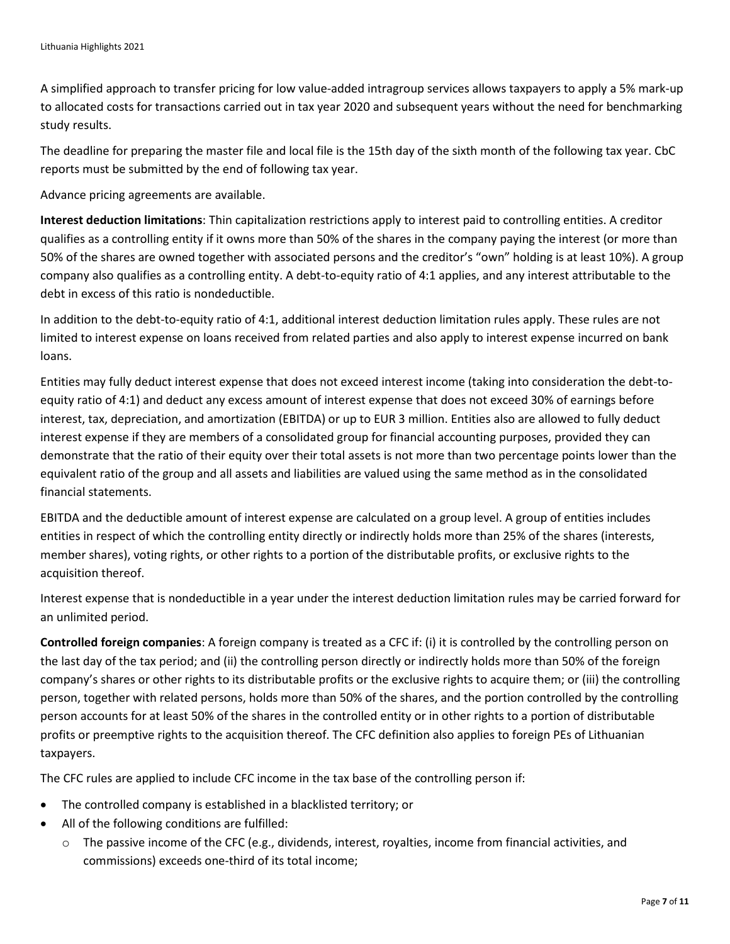A simplified approach to transfer pricing for low value-added intragroup services allows taxpayers to apply a 5% mark-up to allocated costs for transactions carried out in tax year 2020 and subsequent years without the need for benchmarking study results.

The deadline for preparing the master file and local file is the 15th day of the sixth month of the following tax year. CbC reports must be submitted by the end of following tax year.

Advance pricing agreements are available.

**Interest deduction limitations**: Thin capitalization restrictions apply to interest paid to controlling entities. A creditor qualifies as a controlling entity if it owns more than 50% of the shares in the company paying the interest (or more than 50% of the shares are owned together with associated persons and the creditor's "own" holding is at least 10%). A group company also qualifies as a controlling entity. A debt-to-equity ratio of 4:1 applies, and any interest attributable to the debt in excess of this ratio is nondeductible.

In addition to the debt-to-equity ratio of 4:1, additional interest deduction limitation rules apply. These rules are not limited to interest expense on loans received from related parties and also apply to interest expense incurred on bank loans.

Entities may fully deduct interest expense that does not exceed interest income (taking into consideration the debt-toequity ratio of 4:1) and deduct any excess amount of interest expense that does not exceed 30% of earnings before interest, tax, depreciation, and amortization (EBITDA) or up to EUR 3 million. Entities also are allowed to fully deduct interest expense if they are members of a consolidated group for financial accounting purposes, provided they can demonstrate that the ratio of their equity over their total assets is not more than two percentage points lower than the equivalent ratio of the group and all assets and liabilities are valued using the same method as in the consolidated financial statements.

EBITDA and the deductible amount of interest expense are calculated on a group level. A group of entities includes entities in respect of which the controlling entity directly or indirectly holds more than 25% of the shares (interests, member shares), voting rights, or other rights to a portion of the distributable profits, or exclusive rights to the acquisition thereof.

Interest expense that is nondeductible in a year under the interest deduction limitation rules may be carried forward for an unlimited period.

**Controlled foreign companies**: A foreign company is treated as a CFC if: (i) it is controlled by the controlling person on the last day of the tax period; and (ii) the controlling person directly or indirectly holds more than 50% of the foreign company's shares or other rights to its distributable profits or the exclusive rights to acquire them; or (iii) the controlling person, together with related persons, holds more than 50% of the shares, and the portion controlled by the controlling person accounts for at least 50% of the shares in the controlled entity or in other rights to a portion of distributable profits or preemptive rights to the acquisition thereof. The CFC definition also applies to foreign PEs of Lithuanian taxpayers.

The CFC rules are applied to include CFC income in the tax base of the controlling person if:

- The controlled company is established in a blacklisted territory; or
- All of the following conditions are fulfilled:
	- $\circ$  The passive income of the CFC (e.g., dividends, interest, royalties, income from financial activities, and commissions) exceeds one-third of its total income;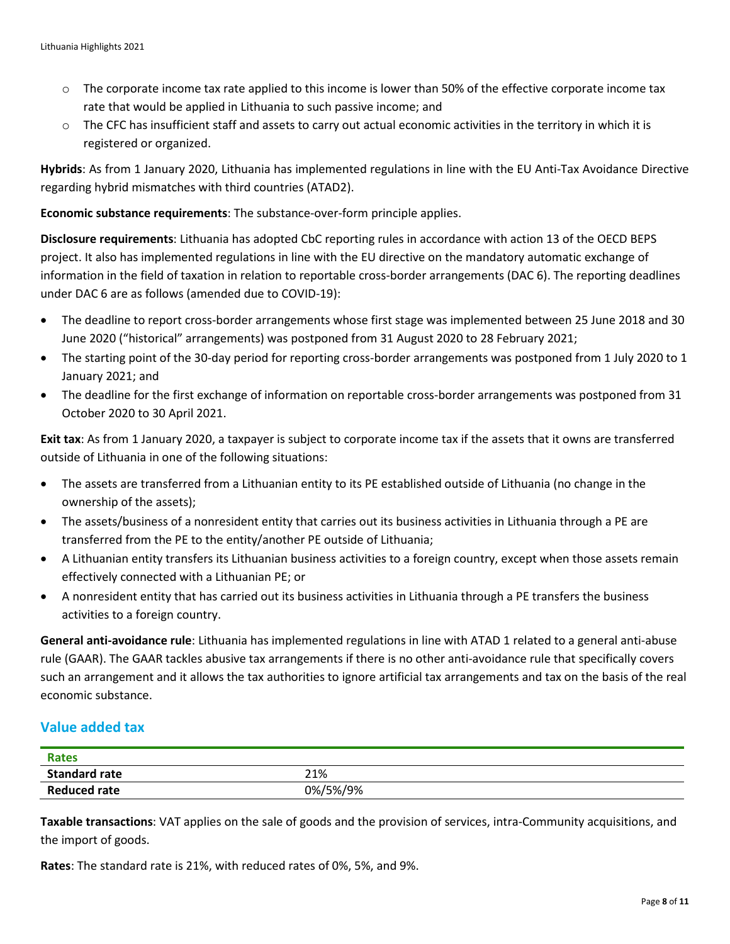- o The corporate income tax rate applied to this income is lower than 50% of the effective corporate income tax rate that would be applied in Lithuania to such passive income; and
- $\circ$  The CFC has insufficient staff and assets to carry out actual economic activities in the territory in which it is registered or organized.

**Hybrids**: As from 1 January 2020, Lithuania has implemented regulations in line with the EU Anti-Tax Avoidance Directive regarding hybrid mismatches with third countries (ATAD2).

**Economic substance requirements**: The substance-over-form principle applies.

**Disclosure requirements**: Lithuania has adopted CbC reporting rules in accordance with action 13 of the OECD BEPS project. It also has implemented regulations in line with the EU directive on the mandatory automatic exchange of information in the field of taxation in relation to reportable cross-border arrangements (DAC 6). The reporting deadlines under DAC 6 are as follows (amended due to COVID-19):

- The deadline to report cross-border arrangements whose first stage was implemented between 25 June 2018 and 30 June 2020 ("historical" arrangements) was postponed from 31 August 2020 to 28 February 2021;
- The starting point of the 30-day period for reporting cross-border arrangements was postponed from 1 July 2020 to 1 January 2021; and
- The deadline for the first exchange of information on reportable cross-border arrangements was postponed from 31 October 2020 to 30 April 2021.

**Exit tax**: As from 1 January 2020, a taxpayer is subject to corporate income tax if the assets that it owns are transferred outside of Lithuania in one of the following situations:

- The assets are transferred from a Lithuanian entity to its PE established outside of Lithuania (no change in the ownership of the assets);
- The assets/business of a nonresident entity that carries out its business activities in Lithuania through a PE are transferred from the PE to the entity/another PE outside of Lithuania;
- A Lithuanian entity transfers its Lithuanian business activities to a foreign country, except when those assets remain effectively connected with a Lithuanian PE; or
- A nonresident entity that has carried out its business activities in Lithuania through a PE transfers the business activities to a foreign country.

**General anti-avoidance rule**: Lithuania has implemented regulations in line with ATAD 1 related to a general anti-abuse rule (GAAR). The GAAR tackles abusive tax arrangements if there is no other anti-avoidance rule that specifically covers such an arrangement and it allows the tax authorities to ignore artificial tax arrangements and tax on the basis of the real economic substance.

# **Value added tax**

| <b>Rates</b>         |          |
|----------------------|----------|
| <b>Standard rate</b> | 21%      |
| <b>Reduced rate</b>  | 0%/5%/9% |

**Taxable transactions**: VAT applies on the sale of goods and the provision of services, intra-Community acquisitions, and the import of goods.

**Rates**: The standard rate is 21%, with reduced rates of 0%, 5%, and 9%.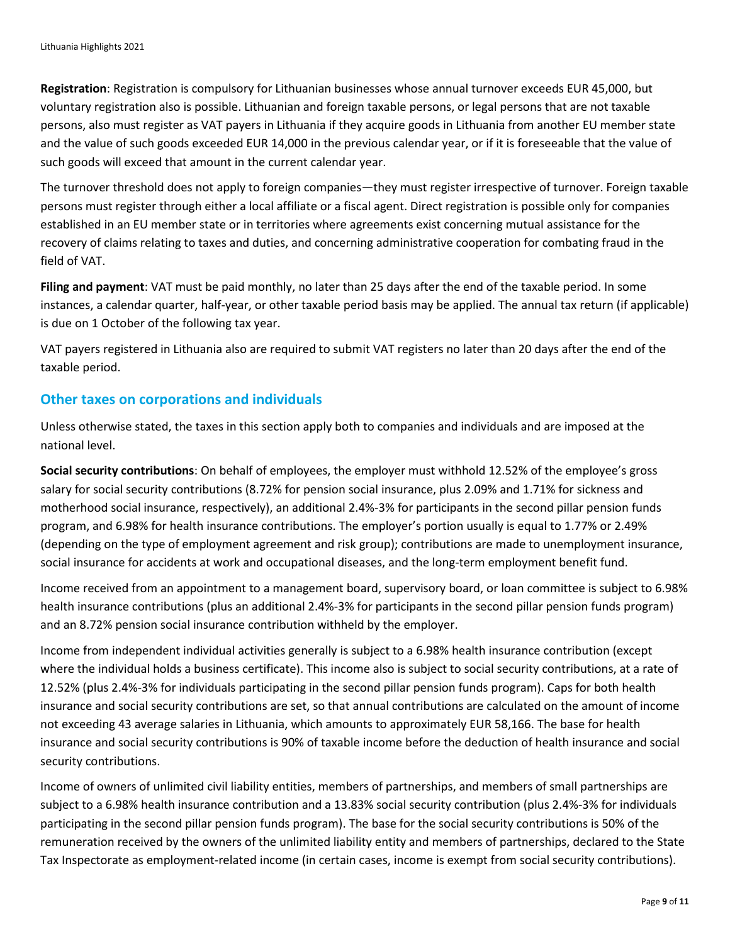**Registration**: Registration is compulsory for Lithuanian businesses whose annual turnover exceeds EUR 45,000, but voluntary registration also is possible. Lithuanian and foreign taxable persons, or legal persons that are not taxable persons, also must register as VAT payers in Lithuania if they acquire goods in Lithuania from another EU member state and the value of such goods exceeded EUR 14,000 in the previous calendar year, or if it is foreseeable that the value of such goods will exceed that amount in the current calendar year.

The turnover threshold does not apply to foreign companies—they must register irrespective of turnover. Foreign taxable persons must register through either a local affiliate or a fiscal agent. Direct registration is possible only for companies established in an EU member state or in territories where agreements exist concerning mutual assistance for the recovery of claims relating to taxes and duties, and concerning administrative cooperation for combating fraud in the field of VAT.

**Filing and payment**: VAT must be paid monthly, no later than 25 days after the end of the taxable period. In some instances, a calendar quarter, half-year, or other taxable period basis may be applied. The annual tax return (if applicable) is due on 1 October of the following tax year.

VAT payers registered in Lithuania also are required to submit VAT registers no later than 20 days after the end of the taxable period.

#### **Other taxes on corporations and individuals**

Unless otherwise stated, the taxes in this section apply both to companies and individuals and are imposed at the national level.

**Social security contributions**: On behalf of employees, the employer must withhold 12.52% of the employee's gross salary for social security contributions (8.72% for pension social insurance, plus 2.09% and 1.71% for sickness and motherhood social insurance, respectively), an additional 2.4%-3% for participants in the second pillar pension funds program, and 6.98% for health insurance contributions. The employer's portion usually is equal to 1.77% or 2.49% (depending on the type of employment agreement and risk group); contributions are made to unemployment insurance, social insurance for accidents at work and occupational diseases, and the long-term employment benefit fund.

Income received from an appointment to a management board, supervisory board, or loan committee is subject to 6.98% health insurance contributions (plus an additional 2.4%-3% for participants in the second pillar pension funds program) and an 8.72% pension social insurance contribution withheld by the employer.

Income from independent individual activities generally is subject to a 6.98% health insurance contribution (except where the individual holds a business certificate). This income also is subject to social security contributions, at a rate of 12.52% (plus 2.4%-3% for individuals participating in the second pillar pension funds program). Caps for both health insurance and social security contributions are set, so that annual contributions are calculated on the amount of income not exceeding 43 average salaries in Lithuania, which amounts to approximately EUR 58,166. The base for health insurance and social security contributions is 90% of taxable income before the deduction of health insurance and social security contributions.

Income of owners of unlimited civil liability entities, members of partnerships, and members of small partnerships are subject to a 6.98% health insurance contribution and a 13.83% social security contribution (plus 2.4%-3% for individuals participating in the second pillar pension funds program). The base for the social security contributions is 50% of the remuneration received by the owners of the unlimited liability entity and members of partnerships, declared to the State Tax Inspectorate as employment-related income (in certain cases, income is exempt from social security contributions).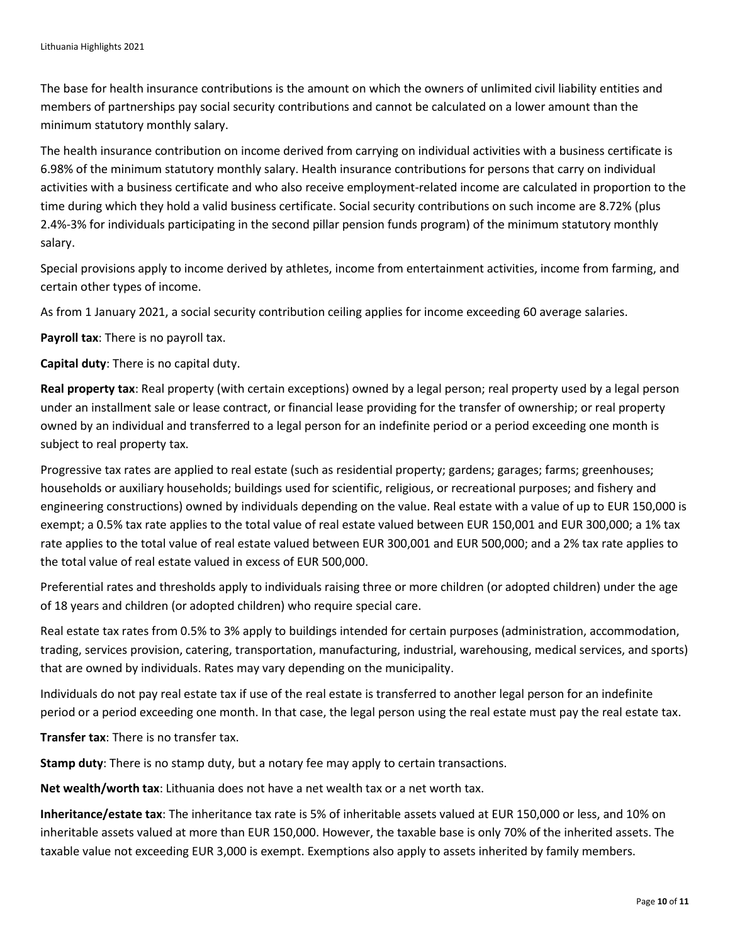The base for health insurance contributions is the amount on which the owners of unlimited civil liability entities and members of partnerships pay social security contributions and cannot be calculated on a lower amount than the minimum statutory monthly salary.

The health insurance contribution on income derived from carrying on individual activities with a business certificate is 6.98% of the minimum statutory monthly salary. Health insurance contributions for persons that carry on individual activities with a business certificate and who also receive employment-related income are calculated in proportion to the time during which they hold a valid business certificate. Social security contributions on such income are 8.72% (plus 2.4%-3% for individuals participating in the second pillar pension funds program) of the minimum statutory monthly salary.

Special provisions apply to income derived by athletes, income from entertainment activities, income from farming, and certain other types of income.

As from 1 January 2021, a social security contribution ceiling applies for income exceeding 60 average salaries.

**Payroll tax**: There is no payroll tax.

**Capital duty**: There is no capital duty.

**Real property tax**: Real property (with certain exceptions) owned by a legal person; real property used by a legal person under an installment sale or lease contract, or financial lease providing for the transfer of ownership; or real property owned by an individual and transferred to a legal person for an indefinite period or a period exceeding one month is subject to real property tax.

Progressive tax rates are applied to real estate (such as residential property; gardens; garages; farms; greenhouses; households or auxiliary households; buildings used for scientific, religious, or recreational purposes; and fishery and engineering constructions) owned by individuals depending on the value. Real estate with a value of up to EUR 150,000 is exempt; a 0.5% tax rate applies to the total value of real estate valued between EUR 150,001 and EUR 300,000; a 1% tax rate applies to the total value of real estate valued between EUR 300,001 and EUR 500,000; and a 2% tax rate applies to the total value of real estate valued in excess of EUR 500,000.

Preferential rates and thresholds apply to individuals raising three or more children (or adopted children) under the age of 18 years and children (or adopted children) who require special care.

Real estate tax rates from 0.5% to 3% apply to buildings intended for certain purposes (administration, accommodation, trading, services provision, catering, transportation, manufacturing, industrial, warehousing, medical services, and sports) that are owned by individuals. Rates may vary depending on the municipality.

Individuals do not pay real estate tax if use of the real estate is transferred to another legal person for an indefinite period or a period exceeding one month. In that case, the legal person using the real estate must pay the real estate tax.

**Transfer tax**: There is no transfer tax.

**Stamp duty**: There is no stamp duty, but a notary fee may apply to certain transactions.

**Net wealth/worth tax**: Lithuania does not have a net wealth tax or a net worth tax.

**Inheritance/estate tax**: The inheritance tax rate is 5% of inheritable assets valued at EUR 150,000 or less, and 10% on inheritable assets valued at more than EUR 150,000. However, the taxable base is only 70% of the inherited assets. The taxable value not exceeding EUR 3,000 is exempt. Exemptions also apply to assets inherited by family members.